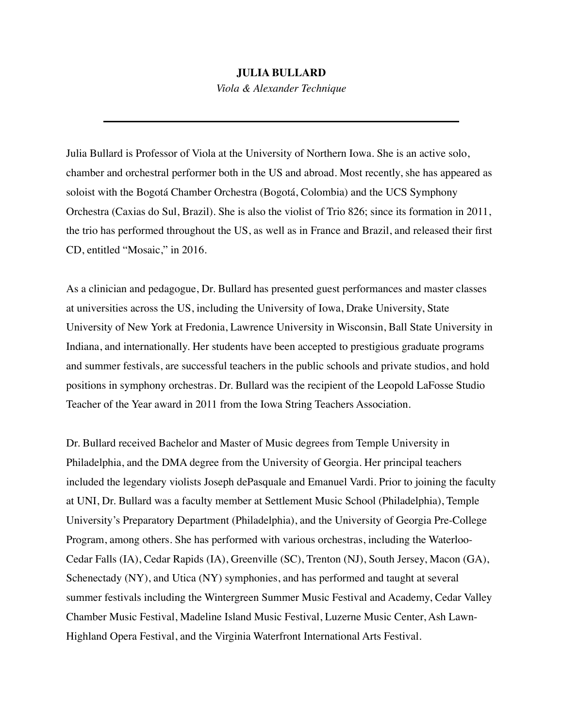## **JULIA BULLARD**

*Viola & Alexander Technique*

Julia Bullard is Professor of Viola at the University of Northern Iowa. She is an active solo, chamber and orchestral performer both in the US and abroad. Most recently, she has appeared as soloist with the Bogotá Chamber Orchestra (Bogotá, Colombia) and the UCS Symphony Orchestra (Caxias do Sul, Brazil). She is also the violist of Trio 826; since its formation in 2011, the trio has performed throughout the US, as well as in France and Brazil, and released their first CD, entitled "Mosaic," in 2016.

As a clinician and pedagogue, Dr. Bullard has presented guest performances and master classes at universities across the US, including the University of Iowa, Drake University, State University of New York at Fredonia, Lawrence University in Wisconsin, Ball State University in Indiana, and internationally. Her students have been accepted to prestigious graduate programs and summer festivals, are successful teachers in the public schools and private studios, and hold positions in symphony orchestras. Dr. Bullard was the recipient of the Leopold LaFosse Studio Teacher of the Year award in 2011 from the Iowa String Teachers Association.

Dr. Bullard received Bachelor and Master of Music degrees from Temple University in Philadelphia, and the DMA degree from the University of Georgia. Her principal teachers included the legendary violists Joseph dePasquale and Emanuel Vardi. Prior to joining the faculty at UNI, Dr. Bullard was a faculty member at Settlement Music School (Philadelphia), Temple University's Preparatory Department (Philadelphia), and the University of Georgia Pre-College Program, among others. She has performed with various orchestras, including the Waterloo-Cedar Falls (IA), Cedar Rapids (IA), Greenville (SC), Trenton (NJ), South Jersey, Macon (GA), Schenectady (NY), and Utica (NY) symphonies, and has performed and taught at several summer festivals including the Wintergreen Summer Music Festival and Academy, Cedar Valley Chamber Music Festival, Madeline Island Music Festival, Luzerne Music Center, Ash Lawn-Highland Opera Festival, and the Virginia Waterfront International Arts Festival.